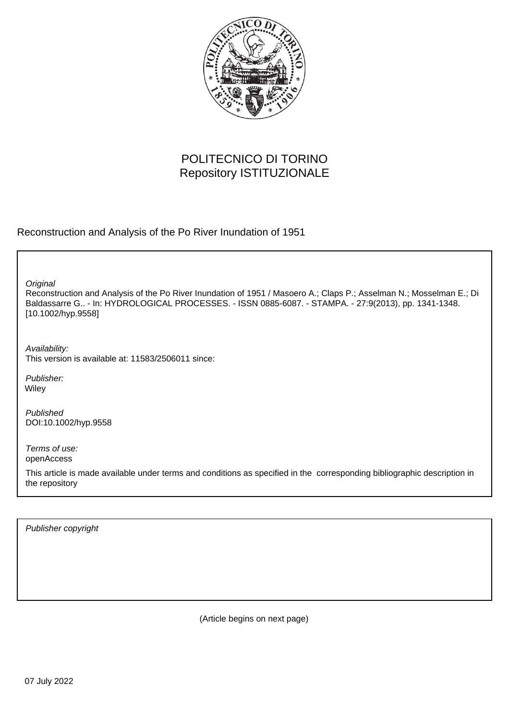

# POLITECNICO DI TORINO Repository ISTITUZIONALE

Reconstruction and Analysis of the Po River Inundation of 1951

**Original** 

Reconstruction and Analysis of the Po River Inundation of 1951 / Masoero A.; Claps P.; Asselman N.; Mosselman E.; Di Baldassarre G.. - In: HYDROLOGICAL PROCESSES. - ISSN 0885-6087. - STAMPA. - 27:9(2013), pp. 1341-1348. [10.1002/hyp.9558]

Availability: This version is available at: 11583/2506011 since:

Publisher: **Wiley** 

Published DOI:10.1002/hyp.9558

Terms of use: openAccess

This article is made available under terms and conditions as specified in the corresponding bibliographic description in the repository

Publisher copyright

(Article begins on next page)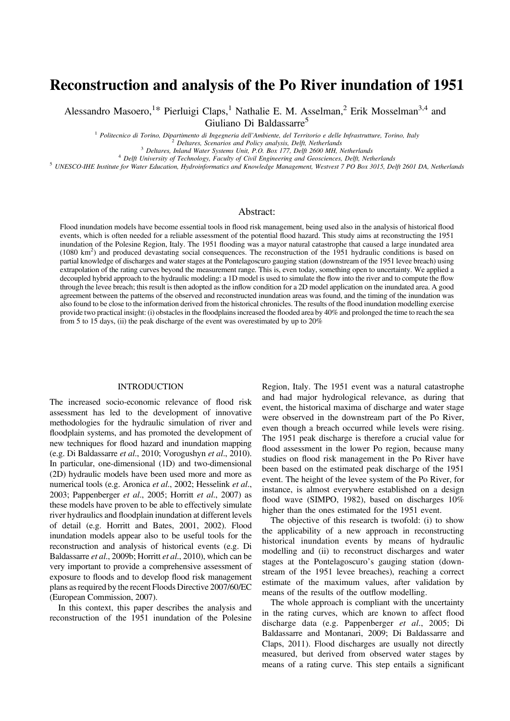# Reconstruction and analysis of the Po River inundation of 1951

Alessandro Masoero,<sup>1\*</sup> Pierluigi Claps,<sup>1</sup> Nathalie E. M. Asselman,<sup>2</sup> Erik Mosselman<sup>3,4</sup> and Giuliano Di Baldassarre<sup>5</sup>

<sup>1</sup> Politecnico di Torino, Dipartimento di Ingegneria dell'Ambiente, del Territorio e delle Infrastrutture, Torino, Italy<br><sup>2</sup> Deltares, Scenarios and Policy analysis, Delft, Netherlands<br><sup>3</sup> Deltares, Inland Water Systems

## Abstract:

Flood inundation models have become essential tools in flood risk management, being used also in the analysis of historical flood events, which is often needed for a reliable assessment of the potential flood hazard. This study aims at reconstructing the 1951 inundation of the Polesine Region, Italy. The 1951 flooding was a mayor natural catastrophe that caused a large inundated area (1080 km<sup>2</sup>) and produced devastating social consequences. The reconstruction of the 1951 hydraulic conditions is based on partial knowledge of discharges and water stages at the Pontelagoscuro gauging station (downstream of the 1951 levee breach) using extrapolation of the rating curves beyond the measurement range. This is, even today, something open to uncertainty. We applied a decoupled hybrid approach to the hydraulic modeling: a 1D model is used to simulate the flow into the river and to compute the flow through the levee breach; this result is then adopted as the inflow condition for a 2D model application on the inundated area. A good agreement between the patterns of the observed and reconstructed inundation areas was found, and the timing of the inundation was also found to be close to the information derived from the historical chronicles. The results of the flood inundation modelling exercise provide two practical insight: (i) obstacles in the floodplains increased the flooded area by 40% and prolonged the time to reach the sea from 5 to 15 days, (ii) the peak discharge of the event was overestimated by up to 20%

### INTRODUCTION

The increased socio-economic relevance of flood risk assessment has led to the development of innovative methodologies for the hydraulic simulation of river and floodplain systems, and has promoted the development of new techniques for flood hazard and inundation mapping (e.g. Di Baldassarre et al., 2010; Vorogushyn et al., 2010). In particular, one-dimensional (1D) and two-dimensional (2D) hydraulic models have been used more and more as numerical tools (e.g. Aronica et al., 2002; Hesselink et al., 2003; Pappenberger et al., 2005; Horritt et al., 2007) as these models have proven to be able to effectively simulate river hydraulics and floodplain inundation at different levels of detail (e.g. Horritt and Bates, 2001, 2002). Flood inundation models appear also to be useful tools for the reconstruction and analysis of historical events (e.g. Di Baldassarre et al., 2009b; Horritt et al., 2010), which can be very important to provide a comprehensive assessment of exposure to floods and to develop flood risk management plans as required by the recent Floods Directive 2007/60/EC (European Commission, 2007).

In this context, this paper describes the analysis and reconstruction of the 1951 inundation of the Polesine Region, Italy. The 1951 event was a natural catastrophe and had major hydrological relevance, as during that event, the historical maxima of discharge and water stage were observed in the downstream part of the Po River, even though a breach occurred while levels were rising. The 1951 peak discharge is therefore a crucial value for flood assessment in the lower Po region, because many studies on flood risk management in the Po River have been based on the estimated peak discharge of the 1951 event. The height of the levee system of the Po River, for instance, is almost everywhere established on a design flood wave (SIMPO, 1982), based on discharges 10% higher than the ones estimated for the 1951 event.

The objective of this research is twofold: (i) to show the applicability of a new approach in reconstructing historical inundation events by means of hydraulic modelling and (ii) to reconstruct discharges and water stages at the Pontelagoscuro's gauging station (downstream of the 1951 levee breaches), reaching a correct estimate of the maximum values, after validation by means of the results of the outflow modelling.

The whole approach is compliant with the uncertainty in the rating curves, which are known to affect flood discharge data (e.g. Pappenberger et al., 2005; Di Baldassarre and Montanari, 2009; Di Baldassarre and Claps, 2011). Flood discharges are usually not directly measured, but derived from observed water stages by means of a rating curve. This step entails a significant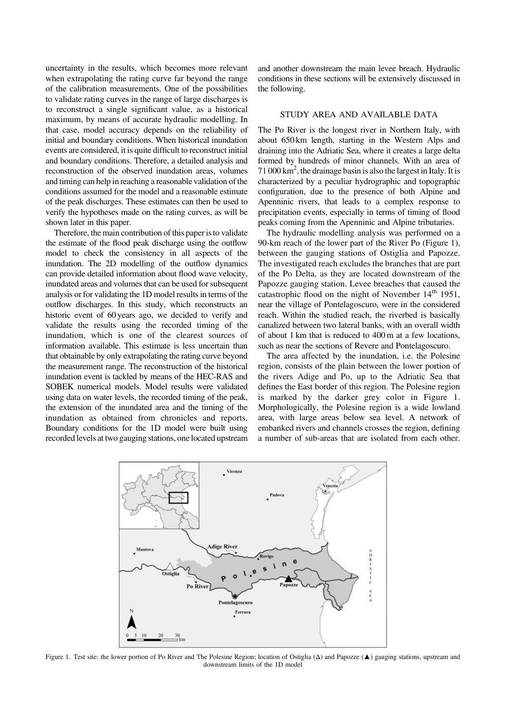uncertainty in the results, which becomes more relevant when extrapolating the rating curve far beyond the range of the calibration measurements. One of the possibilities to validate rating curves in the range of large discharges is to reconstruct a single significant value, as a historical maximum, by means of accurate hydraulic modelling. In that case, model accuracy depends on the reliability of initial and boundary conditions. When historical inundation events are considered, it is quite difficult to reconstruct initial and boundary conditions. Therefore, a detailed analysis and reconstruction of the observed inundation areas, volumes and timing can help in reaching a reasonable validation of the conditions assumed for the model and a reasonable estimate of the peak discharges. These estimates can then be used to verify the hypotheses made on the rating curves, as will be shown later in this paper.

Therefore, the main contribution of this paper is to validate the estimate of the flood peak discharge using the outflow model to check the consistency in all aspects of the inundation. The 2D modelling of the outflow dynamics can provide detailed information about flood wave velocity, inundated areas and volumes that can be used for subsequent analysis or for validating the 1D model results in terms of the outflow discharges. In this study, which reconstructs an historic event of 60 years ago, we decided to verify and validate the results using the recorded timing of the inundation, which is one of the clearest sources of information available. This estimate is less uncertain than that obtainable by only extrapolating the rating curve beyond the measurement range. The reconstruction of the historical inundation event is tackled by means of the HEC-RAS and SOBEK numerical models. Model results were validated using data on water levels, the recorded timing of the peak, the extension of the inundated area and the timing of the inundation as obtained from chronicles and reports. Boundary conditions for the 1D model were built using recorded levels at two gauging stations, one located upstream and another downstream the main levee breach. Hydraulic conditions in these sections will be extensively discussed in the following.

## STUDY AREA AND AVAILABLE DATA

The Po River is the longest river in Northern Italy, with about 650 km length, starting in the Western Alps and draining into the Adriatic Sea, where it creates a large delta formed by hundreds of minor channels. With an area of 71 000 km<sup>2</sup>, the drainage basin is also the largest in Italy. It is characterized by a peculiar hydrographic and topographic configuration, due to the presence of both Alpine and Apenninic rivers, that leads to a complex response to precipitation events, especially in terms of timing of flood peaks coming from the Apenninic and Alpine tributaries.

The hydraulic modelling analysis was performed on a 90-km reach of the lower part of the River Po (Figure 1), between the gauging stations of Ostiglia and Papozze. The investigated reach excludes the branches that are part of the Po Delta, as they are located downstream of the Papozze gauging station. Levee breaches that caused the catastrophic flood on the night of November 14<sup>th</sup> 1951, near the village of Pontelagoscuro, were in the considered reach. Within the studied reach, the riverbed is basically canalized between two lateral banks, with an overall width of about 1 km that is reduced to 400 m at a few locations, such as near the sections of Revere and Pontelagoscuro.

The area affected by the inundation, i.e. the Polesine region, consists of the plain between the lower portion of the rivers Adige and Po, up to the Adriatic Sea that defines the East border of this region. The Polesine region is marked by the darker grey color in Figure 1. Morphologically, the Polesine region is a wide lowland area, with large areas below sea level. A network of embanked rivers and channels crosses the region, defining a number of sub-areas that are isolated from each other.



Figure 1. Test site: the lower portion of Po River and The Polesine Region; location of Ostiglia (Δ) and Papozze (▲) gauging stations, upstream and downstream limits of the 1D model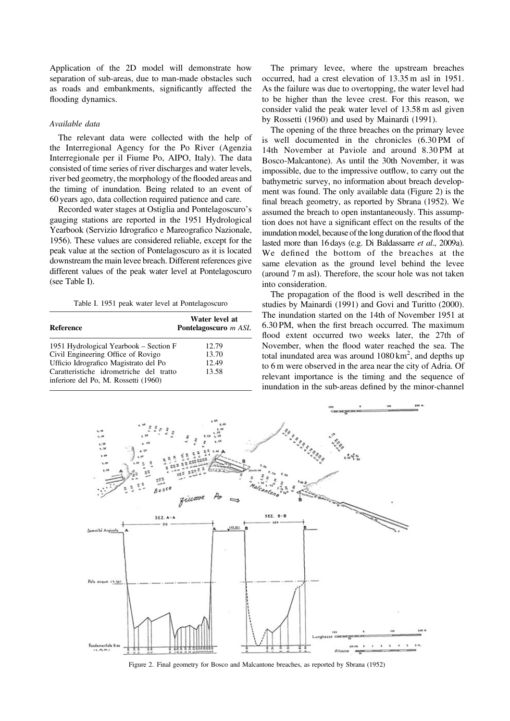Application of the 2D model will demonstrate how separation of sub-areas, due to man-made obstacles such as roads and embankments, significantly affected the flooding dynamics.

## Available data

The relevant data were collected with the help of the Interregional Agency for the Po River (Agenzia Interregionale per il Fiume Po, AIPO, Italy). The data consisted of time series of river discharges and water levels, river bed geometry, the morphology of the flooded areas and the timing of inundation. Being related to an event of 60 years ago, data collection required patience and care.

Recorded water stages at Ostiglia and Pontelagoscuro's gauging stations are reported in the 1951 Hydrological Yearbook (Servizio Idrografico e Mareografico Nazionale, 1956). These values are considered reliable, except for the peak value at the section of Pontelagoscuro as it is located downstream the main levee breach. Different references give different values of the peak water level at Pontelagoscuro (see Table I).

Table I. 1951 peak water level at Pontelagoscuro

| Reference                                                                       | Water level at<br><b>Pontelagoscuro</b> m ASL |  |  |
|---------------------------------------------------------------------------------|-----------------------------------------------|--|--|
| 1951 Hydrological Yearbook – Section F                                          | 12.79                                         |  |  |
| Civil Engineering Office of Rovigo                                              | 13.70                                         |  |  |
| Ufficio Idrografico Magistrato del Po                                           | 12.49                                         |  |  |
| Caratteristiche idrometriche del tratto<br>inferiore del Po, M. Rossetti (1960) | 13.58                                         |  |  |

The primary levee, where the upstream breaches occurred, had a crest elevation of 13.35 m asl in 1951. As the failure was due to overtopping, the water level had to be higher than the levee crest. For this reason, we consider valid the peak water level of 13.58 m asl given by Rossetti (1960) and used by Mainardi (1991).

The opening of the three breaches on the primary levee is well documented in the chronicles (6.30 PM of 14th November at Paviole and around 8.30 PM at Bosco-Malcantone). As until the 30th November, it was impossible, due to the impressive outflow, to carry out the bathymetric survey, no information about breach development was found. The only available data (Figure 2) is the final breach geometry, as reported by Sbrana (1952). We assumed the breach to open instantaneously. This assumption does not have a significant effect on the results of the inundation model, because of the long duration of the flood that lasted more than 16 days (e.g. Di Baldassarre et al., 2009a). We defined the bottom of the breaches at the same elevation as the ground level behind the levee (around 7 m asl). Therefore, the scour hole was not taken into consideration.

The propagation of the flood is well described in the studies by Mainardi (1991) and Govi and Turitto (2000). The inundation started on the 14th of November 1951 at 6.30 PM, when the first breach occurred. The maximum flood extent occurred two weeks later, the 27th of November, when the flood water reached the sea. The total inundated area was around  $1080 \text{ km}^2$ , and depths up to 6 m were observed in the area near the city of Adria. Of relevant importance is the timing and the sequence of inundation in the sub-areas defined by the minor-channel



Figure 2. Final geometry for Bosco and Malcantone breaches, as reported by Sbrana (1952)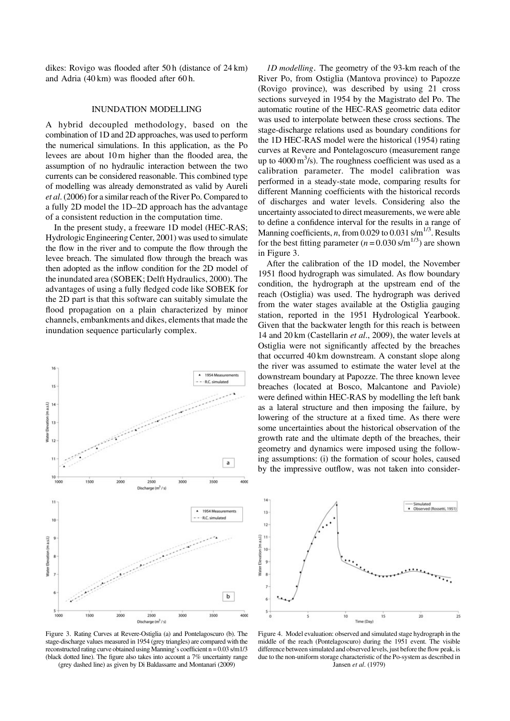dikes: Rovigo was flooded after 50 h (distance of 24 km) and Adria (40 km) was flooded after 60 h.

## INUNDATION MODELLING

A hybrid decoupled methodology, based on the combination of 1D and 2D approaches, was used to perform the numerical simulations. In this application, as the Po levees are about 10 m higher than the flooded area, the assumption of no hydraulic interaction between the two currents can be considered reasonable. This combined type of modelling was already demonstrated as valid by Aureli et al. (2006) for a similar reach of the River Po. Compared to a fully 2D model the 1D–2D approach has the advantage of a consistent reduction in the computation time.

In the present study, a freeware 1D model (HEC-RAS; Hydrologic Engineering Center, 2001) was used to simulate the flow in the river and to compute the flow through the levee breach. The simulated flow through the breach was then adopted as the inflow condition for the 2D model of the inundated area (SOBEK; Delft Hydraulics, 2000). The advantages of using a fully fledged code like SOBEK for the 2D part is that this software can suitably simulate the flood propagation on a plain characterized by minor channels, embankments and dikes, elements that made the inundation sequence particularly complex.



Figure 3. Rating Curves at Revere-Ostiglia (a) and Pontelagoscuro (b). The stage-discharge values measured in 1954 (grey triangles) are compared with the reconstructed rating curve obtained using Manning's coefficient n = 0.03 s/m1/3 (black dotted line). The figure also takes into account a 7% uncertainty range (grey dashed line) as given by Di Baldassarre and Montanari (2009)

1D modelling. The geometry of the 93-km reach of the River Po, from Ostiglia (Mantova province) to Papozze (Rovigo province), was described by using 21 cross sections surveyed in 1954 by the Magistrato del Po. The automatic routine of the HEC-RAS geometric data editor was used to interpolate between these cross sections. The stage-discharge relations used as boundary conditions for the 1D HEC-RAS model were the historical (1954) rating curves at Revere and Pontelagoscuro (measurement range up to  $4000 \text{ m}^3/\text{s}$ ). The roughness coefficient was used as a calibration parameter. The model calibration was performed in a steady-state mode, comparing results for different Manning coefficients with the historical records of discharges and water levels. Considering also the uncertainty associated to direct measurements, we were able to define a confidence interval for the results in a range of Manning coefficients, n, from 0.029 to 0.031 s/m $^{1/3}$ . Results for the best fitting parameter  $(n = 0.030 \text{ s/m}^{1/3})$  are shown in Figure 3.

After the calibration of the 1D model, the November 1951 flood hydrograph was simulated. As flow boundary condition, the hydrograph at the upstream end of the reach (Ostiglia) was used. The hydrograph was derived from the water stages available at the Ostiglia gauging station, reported in the 1951 Hydrological Yearbook. Given that the backwater length for this reach is between 14 and 20 km (Castellarin *et al.*, 2009), the water levels at Ostiglia were not significantly affected by the breaches that occurred 40 km downstream. A constant slope along the river was assumed to estimate the water level at the downstream boundary at Papozze. The three known levee breaches (located at Bosco, Malcantone and Paviole) were defined within HEC-RAS by modelling the left bank as a lateral structure and then imposing the failure, by lowering of the structure at a fixed time. As there were some uncertainties about the historical observation of the growth rate and the ultimate depth of the breaches, their geometry and dynamics were imposed using the following assumptions: (i) the formation of scour holes, caused by the impressive outflow, was not taken into consider-



Figure 4. Model evaluation: observed and simulated stage hydrograph in the middle of the reach (Pontelagoscuro) during the 1951 event. The visible difference between simulated and observed levels, just before the flow peak, is due to the non-uniform storage characteristic of the Po-system as described in Jansen et al. (1979)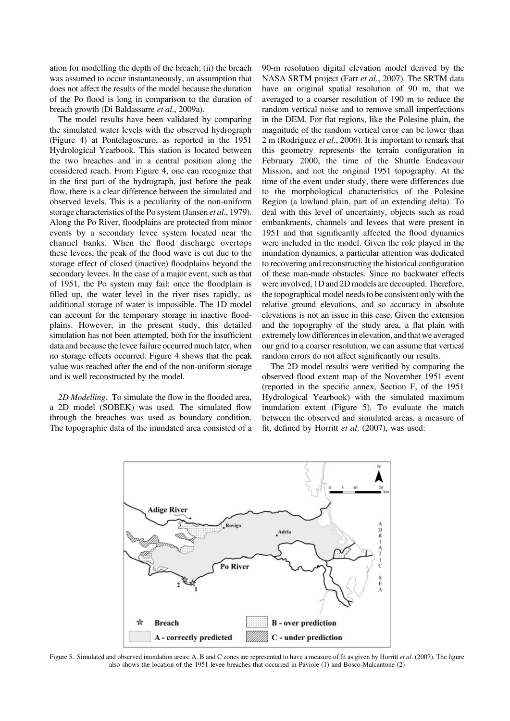ation for modelling the depth of the breach; (ii) the breach was assumed to occur instantaneously, an assumption that does not affect the results of the model because the duration of the Po flood is long in comparison to the duration of breach growth (Di Baldassarre et al., 2009a).

The model results have been validated by comparing the simulated water levels with the observed hydrograph (Figure 4) at Pontelagoscuro, as reported in the 1951 Hydrological Yearbook. This station is located between the two breaches and in a central position along the considered reach. From Figure 4, one can recognize that in the first part of the hydrograph, just before the peak flow, there is a clear difference between the simulated and observed levels. This is a peculiarity of the non-uniform storage characteristics of the Po system (Jansen et al., 1979). Along the Po River, floodplains are protected from minor events by a secondary levee system located near the channel banks. When the flood discharge overtops these levees, the peak of the flood wave is cut due to the storage effect of closed (inactive) floodplains beyond the secondary levees. In the case of a major event, such as that of 1951, the Po system may fail: once the floodplain is filled up, the water level in the river rises rapidly, as additional storage of water is impossible. The 1D model can account for the temporary storage in inactive floodplains. However, in the present study, this detailed simulation has not been attempted, both for the insufficient data and because the levee failure occurred much later, when no storage effects occurred. Figure 4 shows that the peak value was reached after the end of the non-uniform storage and is well reconstructed by the model.

2D Modelling. To simulate the flow in the flooded area, a 2D model (SOBEK) was used. The simulated flow through the breaches was used as boundary condition. The topographic data of the inundated area consisted of a 90-m resolution digital elevation model derived by the NASA SRTM project (Farr et al., 2007). The SRTM data have an original spatial resolution of 90 m, that we averaged to a coarser resolution of 190 m to reduce the random vertical noise and to remove small imperfections in the DEM. For flat regions, like the Polesine plain, the magnitude of the random vertical error can be lower than 2 m (Rodriguez et al., 2006). It is important to remark that this geometry represents the terrain configuration in February 2000, the time of the Shuttle Endeavour Mission, and not the original 1951 topography. At the time of the event under study, there were differences due to the morphological characteristics of the Polesine Region (a lowland plain, part of an extending delta). To deal with this level of uncertainty, objects such as road embankments, channels and levees that were present in 1951 and that significantly affected the flood dynamics were included in the model. Given the role played in the inundation dynamics, a particular attention was dedicated to recovering and reconstructing the historical configuration of these man-made obstacles. Since no backwater effects were involved, 1D and 2D models are decoupled. Therefore, the topographical model needs to be consistent only with the relative ground elevations, and so accuracy in absolute elevations is not an issue in this case. Given the extension and the topography of the study area, a flat plain with extremely low differences in elevation, and that we averaged our grid to a coarser resolution, we can assume that vertical random errors do not affect significantly our results.

The 2D model results were verified by comparing the observed flood extent map of the November 1951 event (reported in the specific annex, Section F, of the 1951 Hydrological Yearbook) with the simulated maximum inundation extent (Figure 5). To evaluate the match between the observed and simulated areas, a measure of fit, defined by Horritt et al. (2007), was used:



Figure 5. Simulated and observed inundation areas; A, B and C zones are represented to have a measure of fit as given by Horritt et al. (2007). The figure also shows the location of the 1951 levee breaches that occurred in Paviole (1) and Bosco-Malcantone (2)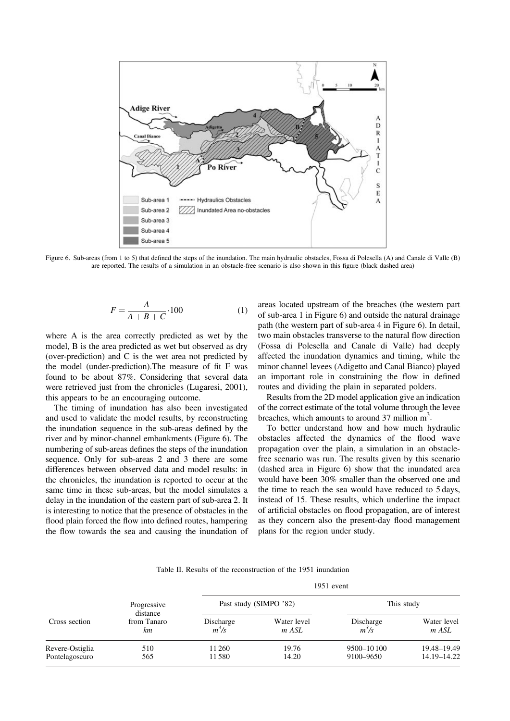

Figure 6. Sub-areas (from 1 to 5) that defined the steps of the inundation. The main hydraulic obstacles, Fossa di Polesella (A) and Canale di Valle (B) are reported. The results of a simulation in an obstacle-free scenario is also shown in this figure (black dashed area)

$$
F = \frac{A}{A+B+C} \cdot 100\tag{1}
$$

where A is the area correctly predicted as wet by the model, B is the area predicted as wet but observed as dry (over-prediction) and C is the wet area not predicted by the model (under-prediction).The measure of fit F was found to be about 87%. Considering that several data were retrieved just from the chronicles (Lugaresi, 2001), this appears to be an encouraging outcome.

The timing of inundation has also been investigated and used to validate the model results, by reconstructing the inundation sequence in the sub-areas defined by the river and by minor-channel embankments (Figure 6). The numbering of sub-areas defines the steps of the inundation sequence. Only for sub-areas 2 and 3 there are some differences between observed data and model results: in the chronicles, the inundation is reported to occur at the same time in these sub-areas, but the model simulates a delay in the inundation of the eastern part of sub-area 2. It is interesting to notice that the presence of obstacles in the flood plain forced the flow into defined routes, hampering the flow towards the sea and causing the inundation of areas located upstream of the breaches (the western part of sub-area 1 in Figure 6) and outside the natural drainage path (the western part of sub-area 4 in Figure 6). In detail, two main obstacles transverse to the natural flow direction (Fossa di Polesella and Canale di Valle) had deeply affected the inundation dynamics and timing, while the minor channel levees (Adigetto and Canal Bianco) played an important role in constraining the flow in defined routes and dividing the plain in separated polders.

Results from the 2D model application give an indication of the correct estimate of the total volume through the levee breaches, which amounts to around  $37$  million m<sup>3</sup>.

To better understand how and how much hydraulic obstacles affected the dynamics of the flood wave propagation over the plain, a simulation in an obstaclefree scenario was run. The results given by this scenario (dashed area in Figure 6) show that the inundated area would have been 30% smaller than the observed one and the time to reach the sea would have reduced to 5 days, instead of 15. These results, which underline the impact of artificial obstacles on flood propagation, are of interest as they concern also the present-day flood management plans for the region under study.

| Table II. Results of the reconstruction of the 1951 inundation |  |
|----------------------------------------------------------------|--|
| $1951$ event                                                   |  |

| Cross section                     | Progressive<br>distance<br>from Tanaro<br>km | 1791 UVUIL             |                      |                         |                            |
|-----------------------------------|----------------------------------------------|------------------------|----------------------|-------------------------|----------------------------|
|                                   |                                              | Past study (SIMPO '82) |                      | This study              |                            |
|                                   |                                              | Discharge<br>$m^3/s$   | Water level<br>m ASL | Discharge<br>$m^3/s$    | Water level<br>m ASL       |
| Revere-Ostiglia<br>Pontelagoscuro | 510<br>565                                   | 11 260<br>11580        | 19.76<br>14.20       | 9500-10100<br>9100-9650 | 19.48-19.49<br>14.19-14.22 |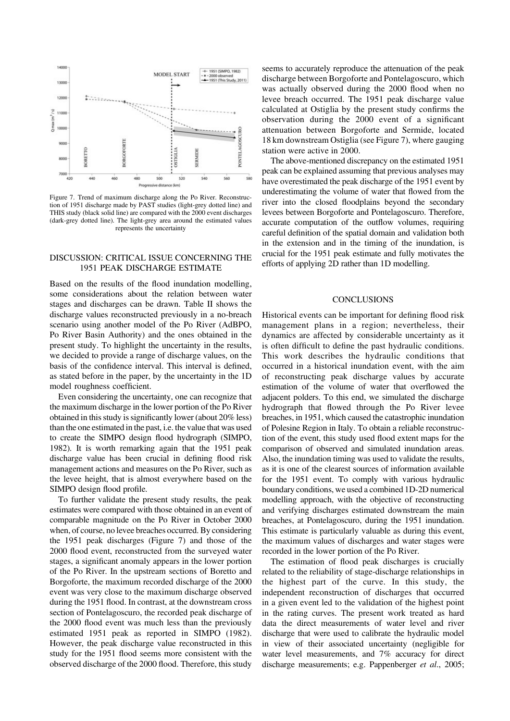

Figure 7. Trend of maximum discharge along the Po River. Reconstruction of 1951 discharge made by PAST studies (light-grey dotted line) and THIS study (black solid line) are compared with the 2000 event discharges (dark-grey dotted line). The light-grey area around the estimated values represents the uncertainty

## DISCUSSION: CRITICAL ISSUE CONCERNING THE 1951 PEAK DISCHARGE ESTIMATE

Based on the results of the flood inundation modelling, some considerations about the relation between water stages and discharges can be drawn. Table II shows the discharge values reconstructed previously in a no-breach scenario using another model of the Po River (AdBPO, Po River Basin Authority) and the ones obtained in the present study. To highlight the uncertainty in the results, we decided to provide a range of discharge values, on the basis of the confidence interval. This interval is defined, as stated before in the paper, by the uncertainty in the 1D model roughness coefficient.

Even considering the uncertainty, one can recognize that the maximum discharge in the lower portion of the Po River obtained in this study is significantly lower (about 20% less) than the one estimated in the past, i.e. the value that was used to create the SIMPO design flood hydrograph (SIMPO, 1982). It is worth remarking again that the 1951 peak discharge value has been crucial in defining flood risk management actions and measures on the Po River, such as the levee height, that is almost everywhere based on the SIMPO design flood profile.

To further validate the present study results, the peak estimates were compared with those obtained in an event of comparable magnitude on the Po River in October 2000 when, of course, no levee breaches occurred. By considering the 1951 peak discharges (Figure 7) and those of the 2000 flood event, reconstructed from the surveyed water stages, a significant anomaly appears in the lower portion of the Po River. In the upstream sections of Boretto and Borgoforte, the maximum recorded discharge of the 2000 event was very close to the maximum discharge observed during the 1951 flood. In contrast, at the downstream cross section of Pontelagoscuro, the recorded peak discharge of the 2000 flood event was much less than the previously estimated 1951 peak as reported in SIMPO (1982). However, the peak discharge value reconstructed in this study for the 1951 flood seems more consistent with the observed discharge of the 2000 flood. Therefore, this study seems to accurately reproduce the attenuation of the peak discharge between Borgoforte and Pontelagoscuro, which was actually observed during the 2000 flood when no levee breach occurred. The 1951 peak discharge value calculated at Ostiglia by the present study confirms the observation during the 2000 event of a significant attenuation between Borgoforte and Sermide, located 18 km downstream Ostiglia (see Figure 7), where gauging station were active in 2000.

The above-mentioned discrepancy on the estimated 1951 peak can be explained assuming that previous analyses may have overestimated the peak discharge of the 1951 event by underestimating the volume of water that flowed from the river into the closed floodplains beyond the secondary levees between Borgoforte and Pontelagoscuro. Therefore, accurate computation of the outflow volumes, requiring careful definition of the spatial domain and validation both in the extension and in the timing of the inundation, is crucial for the 1951 peak estimate and fully motivates the efforts of applying 2D rather than 1D modelling.

### CONCLUSIONS

Historical events can be important for defining flood risk management plans in a region; nevertheless, their dynamics are affected by considerable uncertainty as it is often difficult to define the past hydraulic conditions. This work describes the hydraulic conditions that occurred in a historical inundation event, with the aim of reconstructing peak discharge values by accurate estimation of the volume of water that overflowed the adjacent polders. To this end, we simulated the discharge hydrograph that flowed through the Po River levee breaches, in 1951, which caused the catastrophic inundation of Polesine Region in Italy. To obtain a reliable reconstruction of the event, this study used flood extent maps for the comparison of observed and simulated inundation areas. Also, the inundation timing was used to validate the results, as it is one of the clearest sources of information available for the 1951 event. To comply with various hydraulic boundary conditions, we used a combined 1D-2D numerical modelling approach, with the objective of reconstructing and verifying discharges estimated downstream the main breaches, at Pontelagoscuro, during the 1951 inundation. This estimate is particularly valuable as during this event, the maximum values of discharges and water stages were recorded in the lower portion of the Po River.

The estimation of flood peak discharges is crucially related to the reliability of stage-discharge relationships in the highest part of the curve. In this study, the independent reconstruction of discharges that occurred in a given event led to the validation of the highest point in the rating curves. The present work treated as hard data the direct measurements of water level and river discharge that were used to calibrate the hydraulic model in view of their associated uncertainty (negligible for water level measurements, and 7% accuracy for direct discharge measurements; e.g. Pappenberger et al., 2005;